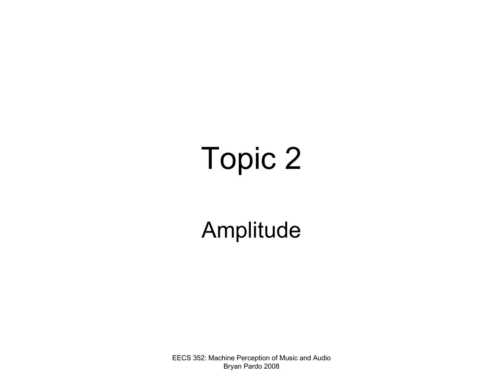## Topic 2

#### Amplitude

EECS 352: Machine Perception of Music and Audio Bryan Pardo 2008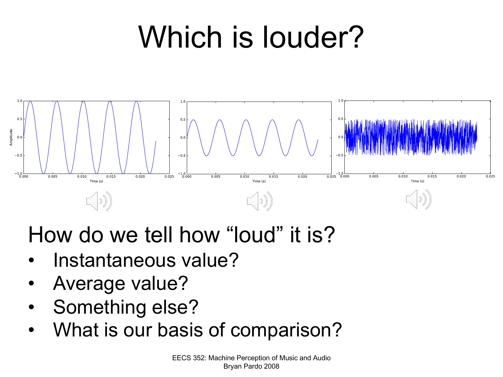## Which is louder?



#### How do we tell how "loud" it is?

- Instantaneous value?
- Average value?
- Something else?
- What is our basis of comparison?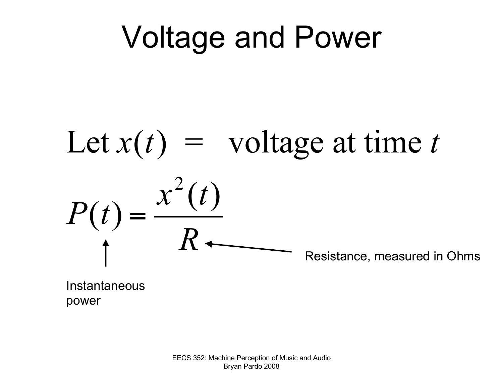## Voltage and Power

### Let  $x(t)$  = voltage at time *t*  $P(t) =$  $x^2(t)$ *R* Resistance, measured in Ohms

Instantaneous power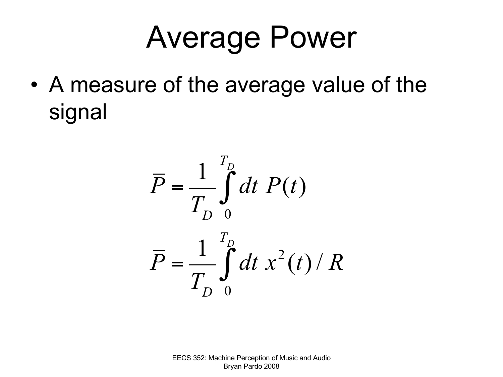## Average Power

• A measure of the average value of the signal

$$
\overline{P} = \frac{1}{T_D} \int_{0}^{T_D} dt \ P(t)
$$

$$
\overline{P} = \frac{1}{T_D} \int_{0}^{T_D} dt \ x^2(t) / R
$$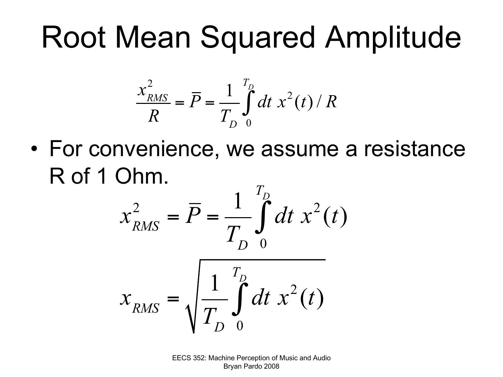## Root Mean Squared Amplitude

$$
\frac{x_{RMS}^2}{R} = \overline{P} = \frac{1}{T_D} \int_{0}^{T_D} dt \; x^2(t) / R
$$

• For convenience, we assume a resistance R of 1 Ohm.

$$
x_{RMS}^2 = \overline{P} = \frac{1}{T_D} \int_0^{T_D} dt \ x^2(t)
$$

$$
x_{RMS} = \sqrt{\frac{1}{T_D} \int_0^{T_D} dt \ x^2(t)}
$$

EECS 352: Machine Perception of Music and Audio Bryan Pardo 2008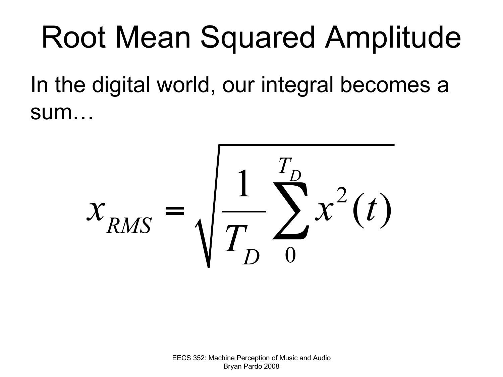## Root Mean Squared Amplitude

In the digital world, our integral becomes a sum…

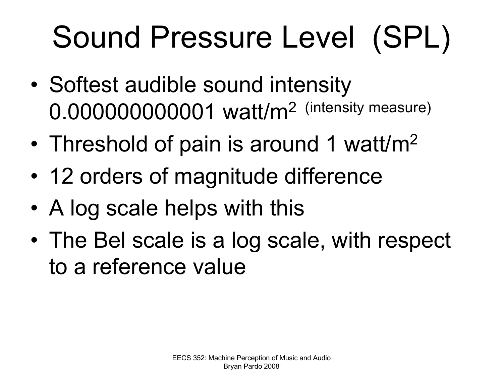# Sound Pressure Level (SPL)

- Softest audible sound intensity 0.000000000001 watt/m2 (intensity measure)
- Threshold of pain is around 1 watt/m<sup>2</sup>
- 12 orders of magnitude difference
- A log scale helps with this
- The Bel scale is a log scale, with respect to a reference value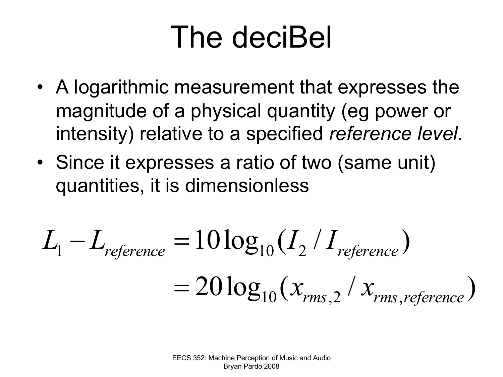## The deciBel

- A logarithmic measurement that expresses the magnitude of a physical quantity (eg power or intensity) relative to a specified *reference level*.
- Since it expresses a ratio of two (same unit) quantities, it is dimensionless

$$
L_1 - L_{reference} = 10 \log_{10} (I_2 / I_{reference})
$$
  
= 20 log<sub>10</sub> (x<sub>rms,2</sub> / x<sub>rms,reference</sub>)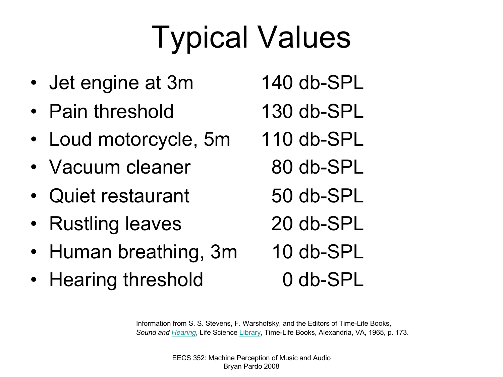# Typical Values

- Jet engine at 3m
- Pain threshold
- Loud motorcycle, 5m
- Vacuum clea[ner](http://ccrma.stanford.edu/CCRMA/Courses/152/hearing.html)
- Quiet restaurant
- Rustling leaves
- Human breathing, 3m
- Hearing threshold
- 140 db-SPL
- 130 db-SPL
- 110 db-SPL
	- 80 db-SPL
	- 50 db-SPL
	- 20 db-SPL
	- 10 db-SPL
		- 0 db-SPL

Information from S. S. Stevens, F. Warshofsky, and the Editors of Time-Life Books, *Sound and Hearing*, Life Science Library, Time-Life Books, Alexandria, VA, 1965, p. 173.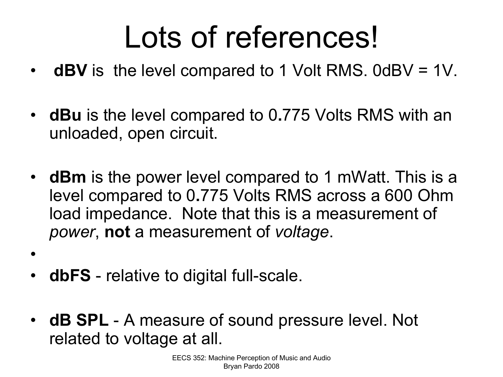## Lots of references!

- **dBV** is the level compared to 1 Volt RMS. 0dBV = 1V.
- **dBu** is the level compared to 0**.**775 Volts RMS with an unloaded, open circuit.
- **dBm** is the power level compared to 1 mWatt. This is a level compared to 0**.**775 Volts RMS across a 600 Ohm load impedance. Note that this is a measurement of *power*, **not** a measurement of *voltage*.
- **dbFS** relative to digital full-scale.

•

• **dB SPL** - A measure of sound pressure level. Not related to voltage at all.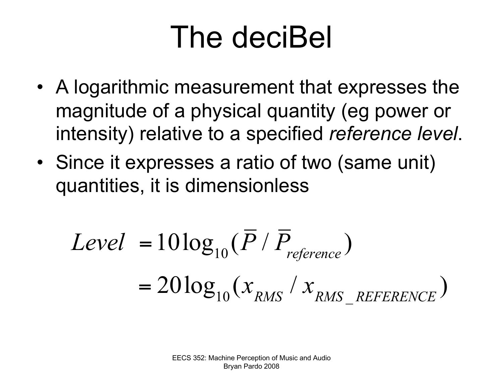## The deciBel

- A logarithmic measurement that expresses the magnitude of a physical quantity (eg power or intensity) relative to a specified *reference level*.
- Since it expresses a ratio of two (same unit) quantities, it is dimensionless

$$
Level = 10 \log_{10} (\overline{P} / \overline{P}_{reference})
$$
  
= 20 log<sub>10</sub> (x<sub>RMS</sub> / x<sub>RMS</sub><sub>REFERENCE</sub>)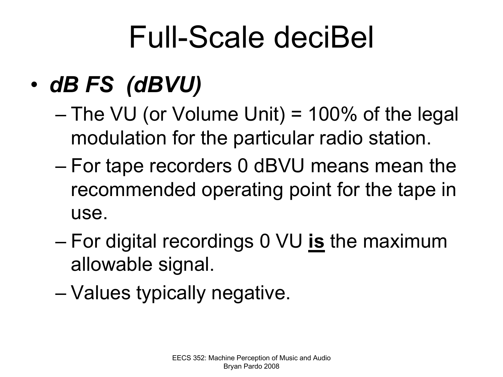## Full-Scale deciBel

#### • *dB FS (dBVU)*

- $-$  The VU (or Volume Unit) = 100% of the legal modulation for the particular radio station.
- For tape recorders 0 dBVU means mean the recommended operating point for the tape in use.
- For digital recordings 0 VU **is** the maximum allowable signal.
- Values typically negative.